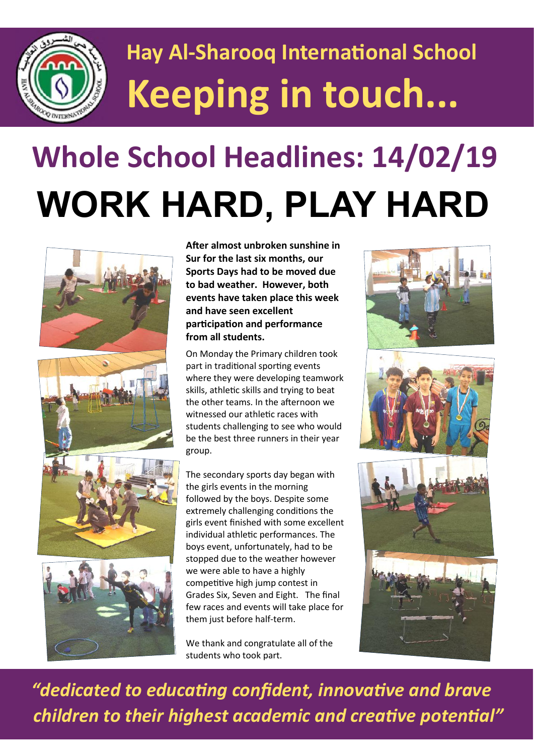

## **Hay Al-Sharooq International School Keeping in touch...**

# **Whole School Headlines: 14/02/19 WORK HARD, PLAY HARD**



**After almost unbroken sunshine in Sur for the last six months, our Sports Days had to be moved due to bad weather. However, both events have taken place this week and have seen excellent participation and performance from all students.** 

On Monday the Primary children took part in traditional sporting events where they were developing teamwork skills, athletic skills and trying to beat the other teams. In the afternoon we witnessed our athletic races with students challenging to see who would be the best three runners in their year group.

The secondary sports day began with the girls events in the morning followed by the boys. Despite some extremely challenging conditions the girls event finished with some excellent individual athletic performances. The boys event, unfortunately, had to be stopped due to the weather however we were able to have a highly competitive high jump contest in Grades Six, Seven and Eight. The final few races and events will take place for them just before half-term.

We thank and congratulate all of the students who took part.



 *"dedicated to educating confident, innovative and brave children to their highest academic and creative potential"*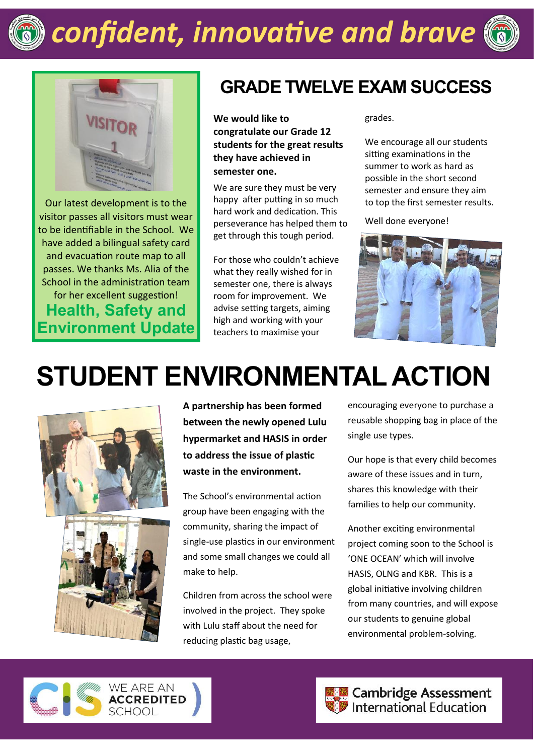

### *confident, innovative and brave*





Our latest development is to the visitor passes all visitors must wear to be identifiable in the School. We have added a bilingual safety card and evacuation route map to all passes. We thanks Ms. Alia of the School in the administration team for her excellent suggestion! **Health, Safety and Environment Update**

#### **GRADE TWELVE EXAM SUCCESS**

**We would like to congratulate our Grade 12 students for the great results they have achieved in semester one.** 

We are sure they must be very happy after putting in so much hard work and dedication. This perseverance has helped them to get through this tough period.

For those who couldn't achieve what they really wished for in semester one, there is always room for improvement. We advise setting targets, aiming high and working with your teachers to maximise your

grades.

We encourage all our students sitting examinations in the summer to work as hard as possible in the short second semester and ensure they aim to top the first semester results.

Well done everyone!



### **STUDENT ENVIRONMENTAL ACTION**



**A partnership has been formed between the newly opened Lulu hypermarket and HASIS in order to address the issue of plastic waste in the environment.**

The School's environmental action group have been engaging with the community, sharing the impact of single-use plastics in our environment and some small changes we could all make to help.

Children from across the school were involved in the project. They spoke with Lulu staff about the need for reducing plastic bag usage,

encouraging everyone to purchase a reusable shopping bag in place of the single use types.

Our hope is that every child becomes aware of these issues and in turn, shares this knowledge with their families to help our community.

Another exciting environmental project coming soon to the School is 'ONE OCEAN' which will involve HASIS, OLNG and KBR. This is a global initiative involving children from many countries, and will expose our students to genuine global environmental problem-solving.